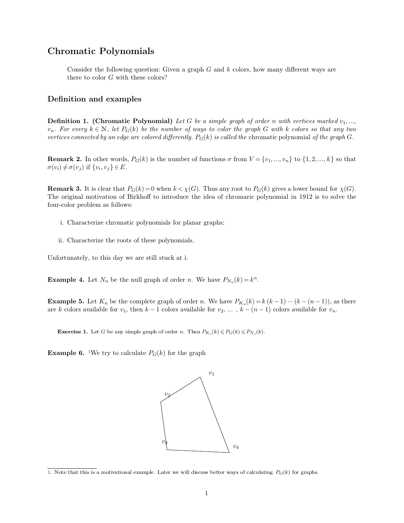## **Chromatic Polynomials**<br>
Consider the following question: Given a

**Consider the following question:** Given a graph  $G$  and  $k$  colors, how many different ways are there to color  $G$  with these colors? **Example 12 System System System System System System is the color** *G* **with these colors? Consider the following question: G**<br>there to color *G* with these colors?<br>**Definition and examples** 

**Definition and examples**<br>**Definition 1. (Chromatic Polynomial)** Let G be a simple graph of order n with vertices marked  $v_1, ..., v_n$ . For every  $k \in \mathbb{N}$ , let  $P_G(k)$  be the number of ways to color the graph G with k color **Definition and examples**<br>**Definition 1.** (Chromatic Polynomial) Let G be a simple graph of order n with vertices marked  $v_1, ..., v_n$ . For every  $k \in \mathbb{N}$ , let  $P_G(k)$  be the number of ways to color the graph G with k color **Definition 1. (Chromatic Polynomial)** Let G be a simple graph of order n with vertices marked  $v_1, ..., v_n$ . For every  $k \in \mathbb{N}$ , let  $P_G(k)$  be the number of ways to color the graph G with k colors so that any two vertices

*N*, *let*  $P_G(k)$  *be i*<br>*by an edge are colo*<br>*ner* words,  $P_G(k)$ <br>*i*,  $v_j$ }  $\in E$ .

**Remark 2.** In other words,  $P_G(k)$  is the number of functions  $\sigma$  from  $V = \{v_1, ..., v_n\}$  to  $\{1, 2, ..., k\}$  so that  $\sigma(v_i) \neq \sigma(v_j)$  if  $\{v_i, v_j\} \in E$ .<br> **Remark 3.** It is clear that  $P_G(k) = 0$  when  $k < \chi(G)$ . Thus any root to  $\sigma(v_i) \neq \sigma(v_j)$  if  $\{v_i, v_j\} \in E$ .<br> **Remark 3.** It is clear that  $P_G(k)$ .<br>
The original motivation of Birkho<br>
four-color problem as follows: **nark 3.** It is clear that  $P_G(k) = 0$  when  $k < \chi(G)$ . Thus any ro original motivation of Birkhoff to introduce the idea of chrocolor problem as follows:<br>i. Characterize chromatic polynomials for planar graphs; color problem as follows:<br>i. Characterize chromatic polynomials for planar g:<br>ii. Characterize the roots of these polynomials.

- i. Characterize chromatic polynomials for planar grain. Characterize the roots of these polynomials. Unfortunately, to this day we are still stuck at i.
	-

II. Characterize the roots of these polynomials.<br>
Unfortunately, to this day we are still stuck at i.<br> **Example 4.** Let  $N_n$  be the null graph of order *n*. We have  $P_{N_n}(k) = k^n$  $(k) = k^n$ .

**Example 4.** Let  $N_n$  be the null graph of order *n*. We have  $P_{N_n}(k) = k^n$ .<br> **Example 5.** Let  $K_n$  be the complete graph of order *n*. We have  $P_{K_n}(k) = k (k-1) \cdots (k-(n-1))$ , as there are *k* colors available for  $v_1$ , then **Example 4.** Let  $N_n$  be the null graph of order *n*. We have  $P_{N_n}(k) = k^n$ .<br> **Example 5.** Let  $K_n$  be the complete graph of order *n*. We have  $P_{K_n}(k) = k (k - 1) \cdots (k - (n - 1))$ , as the are *k* colors available for *v<sub>1</sub>*, the **Exercise** 1. Let *G* be any simple graph of order *n*. We have *k* colors available for  $v_1$ , then  $k-1$  colors available for  $v_2$ , **Exercise** 1. Let *G* be any simple graph of order *n*. Then  $P_{K_n}(k) \leq P$ 

 $(k) \leqslant P_G(k) \leqslant P_{N_n}(k).$ **Exercise 1.** Let *G* be any simple graph of order *n*. Then  $P_{K_n}(k) \leq P_G$ <br>**Example 6.** <sup>1</sup>We try to calculate  $P_G(k)$  for the graph

<span id="page-0-0"></span>



[<sup>1.</sup>](#page-0-0) Note that this is a motivational example. Later we will discuss better ways of calculating *<sup>P</sup>G*(*k*) for graphs.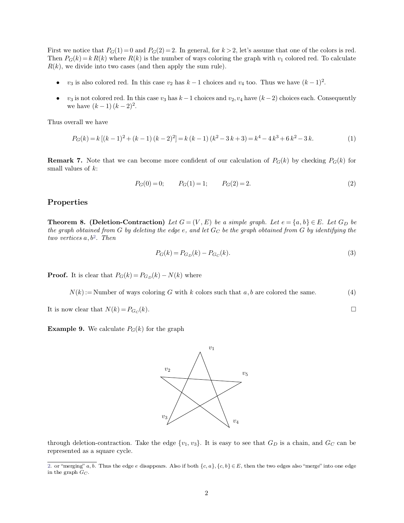First we notice that  $P_G(1) = 0$  and  $P_G(2) = 2$ . In general, for  $k > 2$ , let's assume that one of the colors is red.<br>Then  $P_G(k) = k R(k)$  where  $R(k)$  is the number of ways coloring the graph with  $v_1$  colored red. To calculat First we notice that  $P_G(1) = 0$  and  $P_G(2) = 2$ . In general, for  $k > 2$ , let's assume that one of the colors is red.<br>Then  $P_G(k) = k R(k)$  where  $R(k)$  is the number of ways coloring the graph with  $v_1$  colored red. To calculat First we notice that  $P_G(1) = 0$  and  $P_G(2) = 2$ . In general, for  $k > 2$ , Then  $P_G(k) = k R(k)$  where  $R(k)$  is the number of ways coloring th  $R(k)$ , we divide into two cases (and then apply the sum rule). **st** we notice that  $P_G(1) = 0$  and  $P_G(2) = 2$ . In general, for  $k > 2$ , let's assume that one of the colors is ree<br>en  $P_G(k) = k R(k)$  where  $R(k)$  is the number of ways coloring the graph with  $v_1$  colored red. To calculat<br>k),

- $v_3$  is also colored red. In this case  $v_2$  has  $k-1$  choices and  $v_4$  too. Thus we have  $(k-1)^2$ .
- *v*<sub>3</sub> is also colored red. In this case *v*<sub>3</sub> has *k* − 1 choices and *v*<sub>4</sub> too. Thus we have  $(k 1)^2$ .<br>
 *v*<sub>3</sub> is also colored red. In this case *v*<sub>2</sub> has *k* − 1 choices and *v*<sub>4</sub> too. Thus we have  $(k 1)^2$ .<br>
 we divide into two cases (and then<br>  $v_3$  is also colored red. In this case  $v_3$ <br>
is not colored red. In this case  $v_3$ <br>
we have  $(k-1)(k-2)^2$ . •  $v_3$  is also colored red. In this c<br>
•  $v_3$  is not colored red. In this c<br>
we have  $(k-1)(k-2)^2$ .<br>
Thus overall we have

$$
P_G(k) = k [(k-1)^2 + (k-1)(k-2)^2] = k (k-1) (k^2 - 3k + 3) = k^4 - 4k^3 + 6k^2 - 3k.
$$
 (1)

**Remark 7.** Note that we can become more confident of our calculation of  $P_G(k)$  by checking  $P_G(k)$  for small values of  $k$ :  $P_G(k) = k [(k-1)^2 + (k-1) (k-2)^2] = k (k-1) (k^2 - 3k + 3) = k^4 - 4k^3 + 6k^2 - 3k.$  (1)<br> **Remark 7.** Note that we can become more confident of our calculation of  $P_G(k)$  by checking  $P_G(k)$  for<br>
small values of k:<br>  $P_G(0) = 0;$   $P_G(1) = 1;$ 

$$
P_G(0) = 0; \t P_G(1) = 1; \t P_G(2) = 2.
$$
\t(2)

## **Properties**

**Theorem 8.** (Deletion-Contraction) *Let*  $G = (V, E)$  *be a simple graph. Let*  $e = \{a, b\} \in E$ *. Let*  $G_D$  *be the graph obtained from G by deleting the edge e, and let*  $G_C$  *be the graph obtained from G by i* **Theorem 8. (Deletion-Contraction)** Let  $G = (V, E)$  be a simple graph. Let  $e = \{a, b\} \in E$ . Let  $G_D$  be the graph obtained from *G* by deleting the edge *e*, and let  $G_C$  be the graph obtained from *G* by identifying the two **Theorem 8. (Deletion-Contr**<br>*the graph obtained from G by deletion-contrage a, b<sup>2</sup>. Then*  $p_G(k) = P_{G_D}(k) - P_{G_C}(k)$  <br> **Proof.** It is clear that  $P_G(k) = P_{G_D}(k) - N(k)$  where

$$
P_G(k) = P_{G_D}(k) - P_{G_C}(k). \tag{3}
$$

**Proof.** It is clear that  $P_G(k) = P_{G_D}(k)$ .<br>  $N(k) :=$  Number of ways coloring<br>
It is now clear that  $N(k) = P_{G_C}(k)$ .

<span id="page-1-0"></span>*N*(*k*):=  $P_{G_E}(k) = P_{G_D}(k) - P_{G_C}(k)$ . (3)<br> *N*(*k*):= Number of ways coloring *G* with *k* colors such that *a*, *b* are colored the same. (4)

$$
N(k) :=
$$
Number of ways coloring *G* with *k* colors such that *a*, *b* are colored the same. (4)  
It is now clear that  $N(k) = P_{G_C}(k)$ .  $\square$   
**Example 9.** We calculate  $P_G(k)$  for the graph



through deletion-contraction. Take the edge  $\{v_1, v_3\}$ . It is easy to see that  $G_D$  is a chain, and  $G_C$  can be represented as a square cycle. through deletion-contraction. Take<br>represented as a square cycle. through deletion-contraction. Take the edge  $\{v_1, v_3\}$ . It is easy to see that  $G_D$  is a chain, and  $G_C$  can be represented as a square cycle.<br>2. or "merging"  $a, b$ . Thus the edge  $e$  disappears. Also if both  $\{c, a\}, \$ 

represented as a square cycle.<br>  $\frac{1}{2}$ . or "merging" *a*, *b*. Thus the edge *e* disappears. Also if both  $\{c, a\}$ ,  $\{c, b\} \in E$ , then the two edges also "merge" into one edge in the graph  $G_C$ .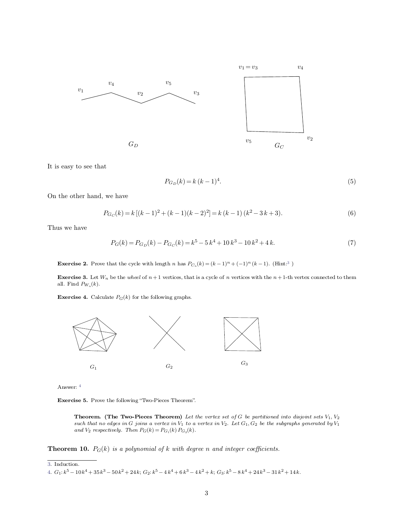

<span id="page-2-0"></span>
$$
P_{G_D}(k) = k (k-1)^4.
$$
\n(5)

It is easy to see that  $\overline{O}$  On the other hand, we have On the other hand, we have  $P_{G_C}(k)\!=\!$  Thus we have

$$
P_{G_D}(k) = k (k - 1)^4.
$$
\n(5)

\n
$$
P_{G_C}(k) = k [(k - 1)^2 + (k - 1)(k - 2)^2] = k (k - 1) (k^2 - 3k + 3).
$$
\n(6)

\n
$$
P_G(k) = P_{G_D}(k) - P_{G_C}(k) = k^5 - 5k^4 + 10k^3 - 10k^2 + 4k.
$$
\n(7)

$$
P_G(k) = P_{G_D}(k) - P_{G_C}(k) = k^5 - 5k^4 + 10k^3 - 10k^2 + 4k.
$$
\n(7)  
\n**Exercise 2.** Prove that the cycle with length *n* has  $P_{C_n}(k) = (k-1)^n + (-1)^n (k-1)$ . (Hint:<sup>3</sup>)

**Exercise 2.** Prove that the cycle with length *n* has  $P_{C_n}(k) = (k-1)^n + (-1)^n (k-1)$ . (Hint:<sup>3</sup>)<br>**Exercise 3.** Let  $W_n$  be the *wheel* of *n* + 1 vertices, that is a cycle of *n* vertices with the *n* + 1-th vertex connected **Exercise 2.** Prove the **Exercise 3.** Let  $W_n$  all. Find  $P_{W_n}(k)$ . all. Find  $P_{W_n}(k)$ . **Exercise 3.** Let  $W_n$  be the *wheel* of  $n + 1$  vertices, that is a all. Find  $P_{W_n}(k)$ .<br>**Exercise 4.** Calculate  $P_G(k)$  for the following graphs.



<span id="page-2-1"></span>Answer: <sup>4</sup>

**Theorem. (The Two-Pieces Theorem)** Let the vertex set of G be partitioned into disjoint sets  $V_1$ ,  $V_2$  such that no edges in G joins a vertex in  $V_1$  to a vertex in  $V_2$ . Let  $G_1$ ,  $G_2$  be the subgraphs generated **Theorem.** (The Two-Pieces Theorem) Let the vertex set of G be partitioned into a such that no edges in G joins a vertex in  $V_1$  to a vertex in  $V_2$ . Let  $G_1, G_2$  be the subgrap and  $V_2$  respectively. Then  $P_G(k) = P_{G_1$ 

with degree  $n$ <br> $x^4 + 6k^3 - 4k^2 +$ 

[3.](#page-2-0) Induction.

[<sup>4.</sup>](#page-2-1)  $G_1: k^5 - 10k^4 + 35k^3 - 50k^2 + 24k$ ;  $G_2: k^5 - 4k^4 + 6k^3 - 4k^2 + k$ ;  $G_3: k^5 - 8k^4 + 24k^3 - 31k^2 + 14k$ .